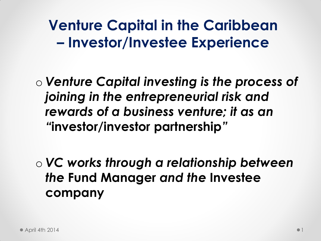#### **Venture Capital in the Caribbean – Investor/Investee Experience**

- o *Venture Capital investing is the process of joining in the entrepreneurial risk and rewards of a business venture; it as an "***investor/investor partnership***"*
- o *VC works through a relationship between the* **Fund Manager** *and the* **Investee company**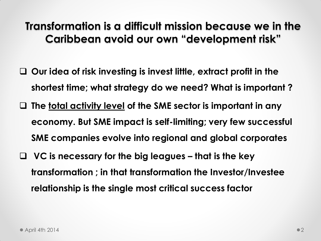#### **Transformation is a difficult mission because we in the Caribbean avoid our own "development risk"**

- **Our idea of risk investing is invest little, extract profit in the shortest time; what strategy do we need? What is important ?**
- **The total activity level of the SME sector is important in any economy. But SME impact is self-limiting; very few successful SME companies evolve into regional and global corporates**
- **VC is necessary for the big leagues – that is the key transformation ; in that transformation the Investor/Investee relationship is the single most critical success factor**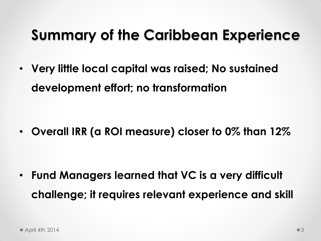### **Summary of the Caribbean Experience**

• **Very little local capital was raised; No sustained development effort; no transformation**

• **Overall IRR (a ROI measure) closer to 0% than 12%**

• **Fund Managers learned that VC is a very difficult challenge; it requires relevant experience and skill**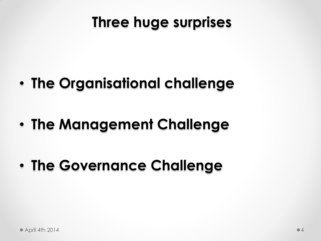### **Three huge surprises**

- **The Organisational challenge**
- **The Management Challenge**
- **The Governance Challenge**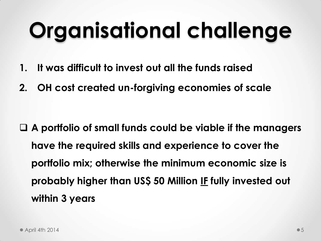# **Organisational challenge**

- **1. It was difficult to invest out all the funds raised**
- **2. OH cost created un-forgiving economies of scale**

 **A portfolio of small funds could be viable if the managers have the required skills and experience to cover the portfolio mix; otherwise the minimum economic size is probably higher than US\$ 50 Million IF fully invested out within 3 years**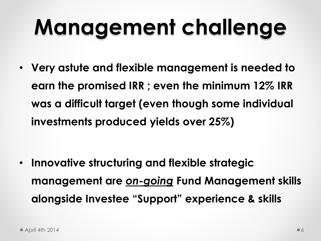# **Management challenge**

• **Very astute and flexible management is needed to earn the promised IRR ; even the minimum 12% IRR was a difficult target (even though some individual investments produced yields over 25%)**

• **Innovative structuring and flexible strategic management are** *on-going* **Fund Management skills alongside Investee "Support" experience & skills**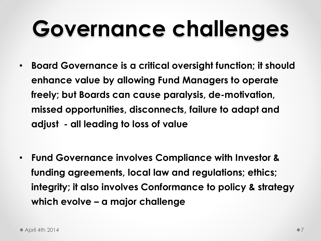### **Governance challenges**

- **Board Governance is a critical oversight function; it should enhance value by allowing Fund Managers to operate freely; but Boards can cause paralysis, de-motivation, missed opportunities, disconnects, failure to adapt and adjust - all leading to loss of value**
- **Fund Governance involves Compliance with Investor & funding agreements, local law and regulations; ethics; integrity; it also involves Conformance to policy & strategy which evolve – a major challenge**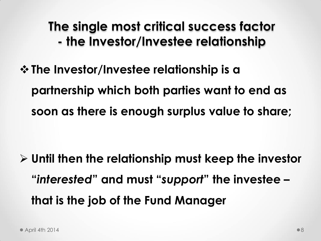**The single most critical success factor - the Investor/Investee relationship**

**The Investor/Investee relationship is a partnership which both parties want to end as soon as there is enough surplus value to share;** 

 **Until then the relationship must keep the investor "***interested***" and must "***support***" the investee – that is the job of the Fund Manager**